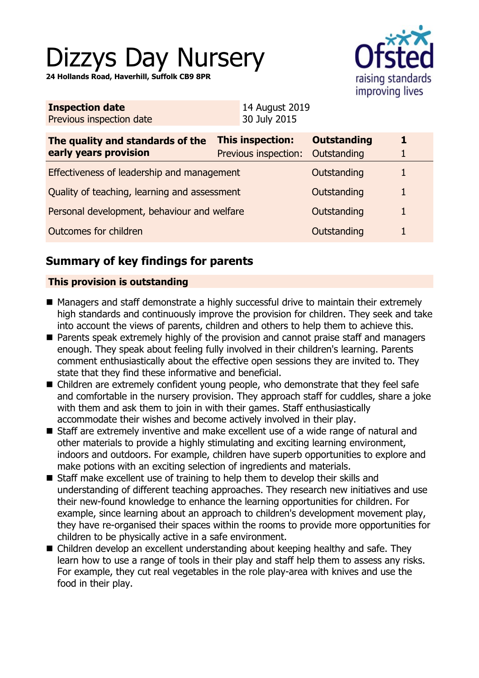# Dizzys Day Nursery

**24 Hollands Road, Haverhill, Suffolk CB9 8PR**



| <b>Inspection date</b>   | 14 August 2019 |
|--------------------------|----------------|
| Previous inspection date | 30 July 2015   |

| The quality and standards of the<br>early years provision | <b>This inspection:</b><br><b>Previous inspection:</b> | <b>Outstanding</b><br>Outstanding | 1. |
|-----------------------------------------------------------|--------------------------------------------------------|-----------------------------------|----|
| Effectiveness of leadership and management                |                                                        | Outstanding                       |    |
| Quality of teaching, learning and assessment              |                                                        | Outstanding                       |    |
| Personal development, behaviour and welfare               |                                                        | Outstanding                       |    |
| Outcomes for children                                     |                                                        | Outstanding                       |    |

# **Summary of key findings for parents**

## **This provision is outstanding**

- Managers and staff demonstrate a highly successful drive to maintain their extremely high standards and continuously improve the provision for children. They seek and take into account the views of parents, children and others to help them to achieve this.
- Parents speak extremely highly of the provision and cannot praise staff and managers enough. They speak about feeling fully involved in their children's learning. Parents comment enthusiastically about the effective open sessions they are invited to. They state that they find these informative and beneficial.
- $\blacksquare$  Children are extremely confident young people, who demonstrate that they feel safe and comfortable in the nursery provision. They approach staff for cuddles, share a joke with them and ask them to join in with their games. Staff enthusiastically accommodate their wishes and become actively involved in their play.
- Staff are extremely inventive and make excellent use of a wide range of natural and other materials to provide a highly stimulating and exciting learning environment, indoors and outdoors. For example, children have superb opportunities to explore and make potions with an exciting selection of ingredients and materials.
- $\blacksquare$  Staff make excellent use of training to help them to develop their skills and understanding of different teaching approaches. They research new initiatives and use their new-found knowledge to enhance the learning opportunities for children. For example, since learning about an approach to children's development movement play, they have re-organised their spaces within the rooms to provide more opportunities for children to be physically active in a safe environment.
- Children develop an excellent understanding about keeping healthy and safe. They learn how to use a range of tools in their play and staff help them to assess any risks. For example, they cut real vegetables in the role play-area with knives and use the food in their play.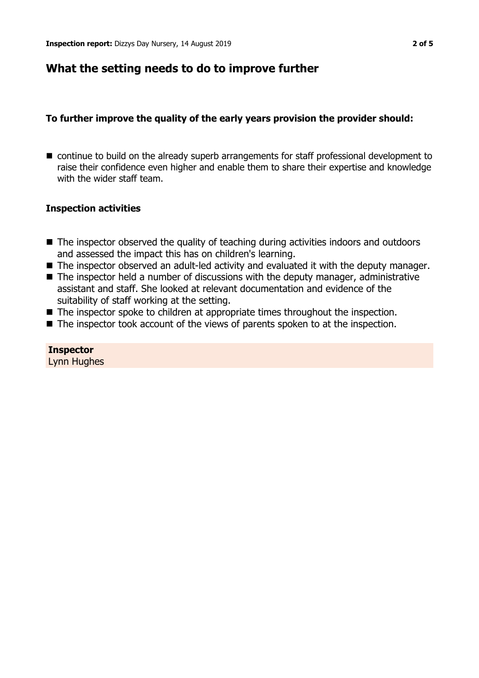## **What the setting needs to do to improve further**

## **To further improve the quality of the early years provision the provider should:**

■ continue to build on the already superb arrangements for staff professional development to raise their confidence even higher and enable them to share their expertise and knowledge with the wider staff team.

## **Inspection activities**

- The inspector observed the quality of teaching during activities indoors and outdoors and assessed the impact this has on children's learning.
- The inspector observed an adult-led activity and evaluated it with the deputy manager.
- $\blacksquare$  The inspector held a number of discussions with the deputy manager, administrative assistant and staff. She looked at relevant documentation and evidence of the suitability of staff working at the setting.
- The inspector spoke to children at appropriate times throughout the inspection.
- $\blacksquare$  The inspector took account of the views of parents spoken to at the inspection.

## **Inspector**

Lynn Hughes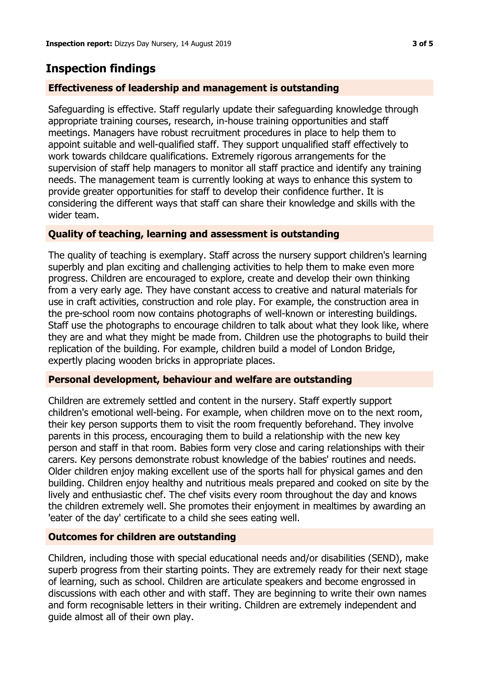# **Inspection findings**

## **Effectiveness of leadership and management is outstanding**

Safeguarding is effective. Staff regularly update their safeguarding knowledge through appropriate training courses, research, in-house training opportunities and staff meetings. Managers have robust recruitment procedures in place to help them to appoint suitable and well-qualified staff. They support unqualified staff effectively to work towards childcare qualifications. Extremely rigorous arrangements for the supervision of staff help managers to monitor all staff practice and identify any training needs. The management team is currently looking at ways to enhance this system to provide greater opportunities for staff to develop their confidence further. It is considering the different ways that staff can share their knowledge and skills with the wider team.

## **Quality of teaching, learning and assessment is outstanding**

The quality of teaching is exemplary. Staff across the nursery support children's learning superbly and plan exciting and challenging activities to help them to make even more progress. Children are encouraged to explore, create and develop their own thinking from a very early age. They have constant access to creative and natural materials for use in craft activities, construction and role play. For example, the construction area in the pre-school room now contains photographs of well-known or interesting buildings. Staff use the photographs to encourage children to talk about what they look like, where they are and what they might be made from. Children use the photographs to build their replication of the building. For example, children build a model of London Bridge, expertly placing wooden bricks in appropriate places.

## **Personal development, behaviour and welfare are outstanding**

Children are extremely settled and content in the nursery. Staff expertly support children's emotional well-being. For example, when children move on to the next room, their key person supports them to visit the room frequently beforehand. They involve parents in this process, encouraging them to build a relationship with the new key person and staff in that room. Babies form very close and caring relationships with their carers. Key persons demonstrate robust knowledge of the babies' routines and needs. Older children enjoy making excellent use of the sports hall for physical games and den building. Children enjoy healthy and nutritious meals prepared and cooked on site by the lively and enthusiastic chef. The chef visits every room throughout the day and knows the children extremely well. She promotes their enjoyment in mealtimes by awarding an 'eater of the day' certificate to a child she sees eating well.

## **Outcomes for children are outstanding**

Children, including those with special educational needs and/or disabilities (SEND), make superb progress from their starting points. They are extremely ready for their next stage of learning, such as school. Children are articulate speakers and become engrossed in discussions with each other and with staff. They are beginning to write their own names and form recognisable letters in their writing. Children are extremely independent and guide almost all of their own play.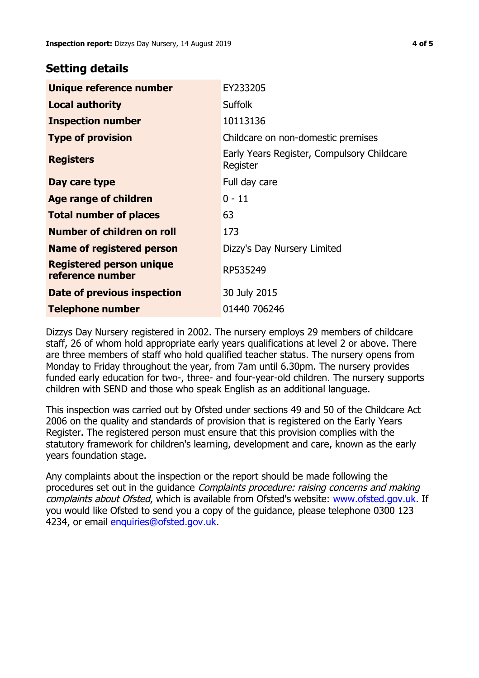## **Setting details**

| Unique reference number                             | EY233205                                               |
|-----------------------------------------------------|--------------------------------------------------------|
| <b>Local authority</b>                              | <b>Suffolk</b>                                         |
| <b>Inspection number</b>                            | 10113136                                               |
| <b>Type of provision</b>                            | Childcare on non-domestic premises                     |
| <b>Registers</b>                                    | Early Years Register, Compulsory Childcare<br>Register |
| Day care type                                       | Full day care                                          |
| <b>Age range of children</b>                        | $0 - 11$                                               |
| <b>Total number of places</b>                       | 63                                                     |
| Number of children on roll                          | 173                                                    |
| Name of registered person                           | Dizzy's Day Nursery Limited                            |
| <b>Registered person unique</b><br>reference number | RP535249                                               |
| <b>Date of previous inspection</b>                  | 30 July 2015                                           |
| Telephone number                                    | 01440 706246                                           |

Dizzys Day Nursery registered in 2002. The nursery employs 29 members of childcare staff, 26 of whom hold appropriate early years qualifications at level 2 or above. There are three members of staff who hold qualified teacher status. The nursery opens from Monday to Friday throughout the year, from 7am until 6.30pm. The nursery provides funded early education for two-, three- and four-year-old children. The nursery supports children with SEND and those who speak English as an additional language.

This inspection was carried out by Ofsted under sections 49 and 50 of the Childcare Act 2006 on the quality and standards of provision that is registered on the Early Years Register. The registered person must ensure that this provision complies with the statutory framework for children's learning, development and care, known as the early years foundation stage.

Any complaints about the inspection or the report should be made following the procedures set out in the quidance *Complaints procedure: raising concerns and making* complaints about Ofsted, which is available from Ofsted's website: www.ofsted.gov.uk. If you would like Ofsted to send you a copy of the guidance, please telephone 0300 123 4234, or email [enquiries@ofsted.gov.uk.](mailto:enquiries@ofsted.gov.uk)